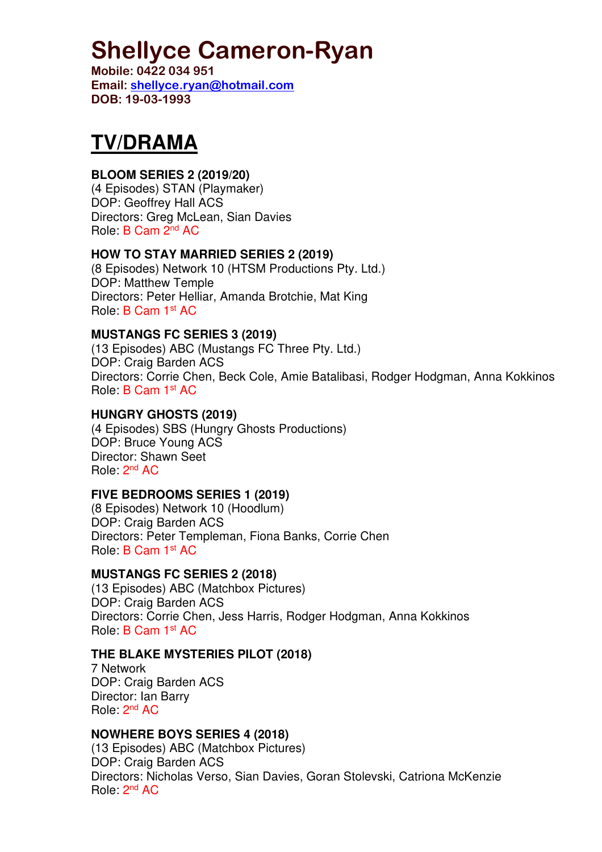**Mobile: 0422 034 951 Email: shellyce.ryan@hotmail.com DOB: 19-03-1993** 

## **TV/DRAMA**

#### **BLOOM SERIES 2 (2019/20)**

(4 Episodes) STAN (Playmaker) DOP: Geoffrey Hall ACS Directors: Greg McLean, Sian Davies Role: B Cam 2<sup>nd</sup> AC

#### **HOW TO STAY MARRIED SERIES 2 (2019)**

(8 Episodes) Network 10 (HTSM Productions Pty. Ltd.) DOP: Matthew Temple Directors: Peter Helliar, Amanda Brotchie, Mat King Role: B Cam 1<sup>st</sup> AC

#### **MUSTANGS FC SERIES 3 (2019)**

(13 Episodes) ABC (Mustangs FC Three Pty. Ltd.) DOP: Craig Barden ACS Directors: Corrie Chen, Beck Cole, Amie Batalibasi, Rodger Hodgman, Anna Kokkinos Role: B Cam 1<sup>st</sup> AC

#### **HUNGRY GHOSTS (2019)**

(4 Episodes) SBS (Hungry Ghosts Productions) DOP: Bruce Young ACS Director: Shawn Seet Role: 2<sup>nd</sup> AC

#### **FIVE BEDROOMS SERIES 1 (2019)**

(8 Episodes) Network 10 (Hoodlum) DOP: Craig Barden ACS Directors: Peter Templeman, Fiona Banks, Corrie Chen Role: B Cam 1<sup>st</sup> AC

#### **MUSTANGS FC SERIES 2 (2018)**

(13 Episodes) ABC (Matchbox Pictures) DOP: Craig Barden ACS Directors: Corrie Chen, Jess Harris, Rodger Hodgman, Anna Kokkinos Role: B Cam 1<sup>st</sup> AC

#### **THE BLAKE MYSTERIES PILOT (2018)**

7 Network DOP: Craig Barden ACS Director: Ian Barry Role: 2<sup>nd</sup> AC

#### **NOWHERE BOYS SERIES 4 (2018)**

(13 Episodes) ABC (Matchbox Pictures) DOP: Craig Barden ACS Directors: Nicholas Verso, Sian Davies, Goran Stolevski, Catriona McKenzie Role: 2<sup>nd</sup> AC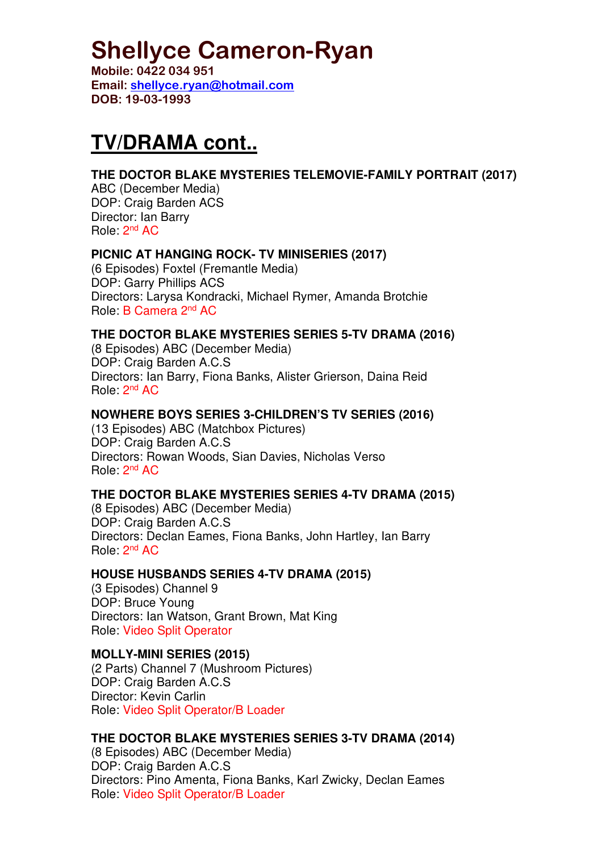**Mobile: 0422 034 951 Email: shellyce.ryan@hotmail.com DOB: 19-03-1993** 

## **TV/DRAMA cont..**

#### **THE DOCTOR BLAKE MYSTERIES TELEMOVIE-FAMILY PORTRAIT (2017)**

ABC (December Media) DOP: Craig Barden ACS Director: Ian Barry Role: 2<sup>nd</sup> AC

#### **PICNIC AT HANGING ROCK- TV MINISERIES (2017)**

(6 Episodes) Foxtel (Fremantle Media) DOP: Garry Phillips ACS Directors: Larysa Kondracki, Michael Rymer, Amanda Brotchie Role: B Camera 2<sup>nd</sup> AC

#### **THE DOCTOR BLAKE MYSTERIES SERIES 5-TV DRAMA (2016)**

(8 Episodes) ABC (December Media) DOP: Craig Barden A.C.S Directors: Ian Barry, Fiona Banks, Alister Grierson, Daina Reid Role: 2<sup>nd</sup> AC

#### **NOWHERE BOYS SERIES 3-CHILDREN'S TV SERIES (2016)**

(13 Episodes) ABC (Matchbox Pictures) DOP: Craig Barden A.C.S Directors: Rowan Woods, Sian Davies, Nicholas Verso Role: 2<sup>nd</sup> AC

#### **THE DOCTOR BLAKE MYSTERIES SERIES 4-TV DRAMA (2015)**

(8 Episodes) ABC (December Media) DOP: Craig Barden A.C.S Directors: Declan Eames, Fiona Banks, John Hartley, Ian Barry Role: 2<sup>nd</sup> AC

#### **HOUSE HUSBANDS SERIES 4-TV DRAMA (2015)**

(3 Episodes) Channel 9 DOP: Bruce Young Directors: Ian Watson, Grant Brown, Mat King Role: Video Split Operator

#### **MOLLY-MINI SERIES (2015)**

(2 Parts) Channel 7 (Mushroom Pictures) DOP: Craig Barden A.C.S Director: Kevin Carlin Role: Video Split Operator/B Loader

#### **THE DOCTOR BLAKE MYSTERIES SERIES 3-TV DRAMA (2014)**

(8 Episodes) ABC (December Media) DOP: Craig Barden A.C.S Directors: Pino Amenta, Fiona Banks, Karl Zwicky, Declan Eames Role: Video Split Operator/B Loader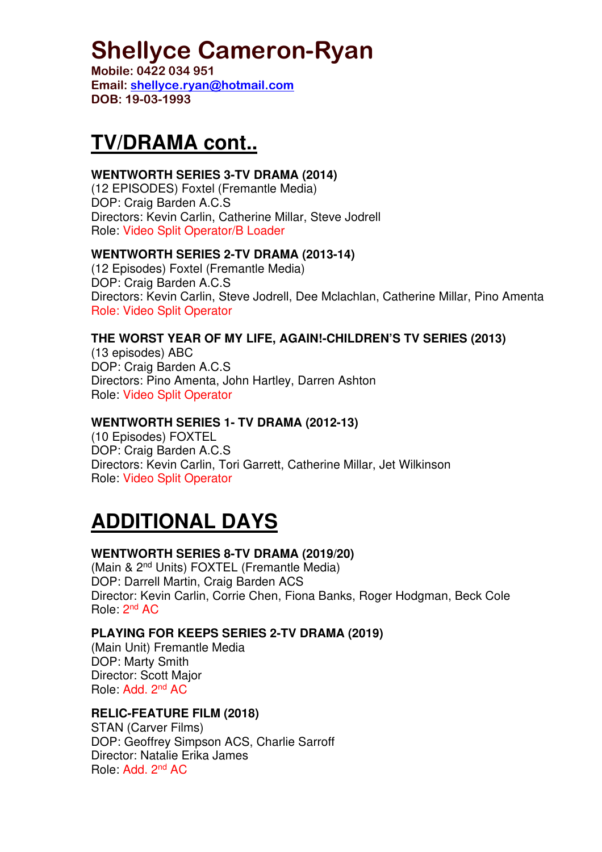**Mobile: 0422 034 951 Email: shellyce.ryan@hotmail.com DOB: 19-03-1993** 

## **TV/DRAMA cont..**

#### **WENTWORTH SERIES 3-TV DRAMA (2014)**

(12 EPISODES) Foxtel (Fremantle Media) DOP: Craig Barden A.C.S Directors: Kevin Carlin, Catherine Millar, Steve Jodrell Role: Video Split Operator/B Loader

#### **WENTWORTH SERIES 2-TV DRAMA (2013-14)**

(12 Episodes) Foxtel (Fremantle Media) DOP: Craig Barden A.C.S Directors: Kevin Carlin, Steve Jodrell, Dee Mclachlan, Catherine Millar, Pino Amenta Role: Video Split Operator

#### **THE WORST YEAR OF MY LIFE, AGAIN!-CHILDREN'S TV SERIES (2013)**

(13 episodes) ABC DOP: Craig Barden A.C.S Directors: Pino Amenta, John Hartley, Darren Ashton Role: Video Split Operator

#### **WENTWORTH SERIES 1- TV DRAMA (2012-13)**

(10 Episodes) FOXTEL DOP: Craig Barden A.C.S Directors: Kevin Carlin, Tori Garrett, Catherine Millar, Jet Wilkinson Role: Video Split Operator

## **ADDITIONAL DAYS**

#### **WENTWORTH SERIES 8-TV DRAMA (2019/20)**

(Main & 2nd Units) FOXTEL (Fremantle Media) DOP: Darrell Martin, Craig Barden ACS Director: Kevin Carlin, Corrie Chen, Fiona Banks, Roger Hodgman, Beck Cole Role: 2nd AC

#### **PLAYING FOR KEEPS SERIES 2-TV DRAMA (2019)**

(Main Unit) Fremantle Media DOP: Marty Smith Director: Scott Major Role: Add. 2nd AC

#### **RELIC-FEATURE FILM (2018)**

STAN (Carver Films) DOP: Geoffrey Simpson ACS, Charlie Sarroff Director: Natalie Erika James Role: Add. 2nd AC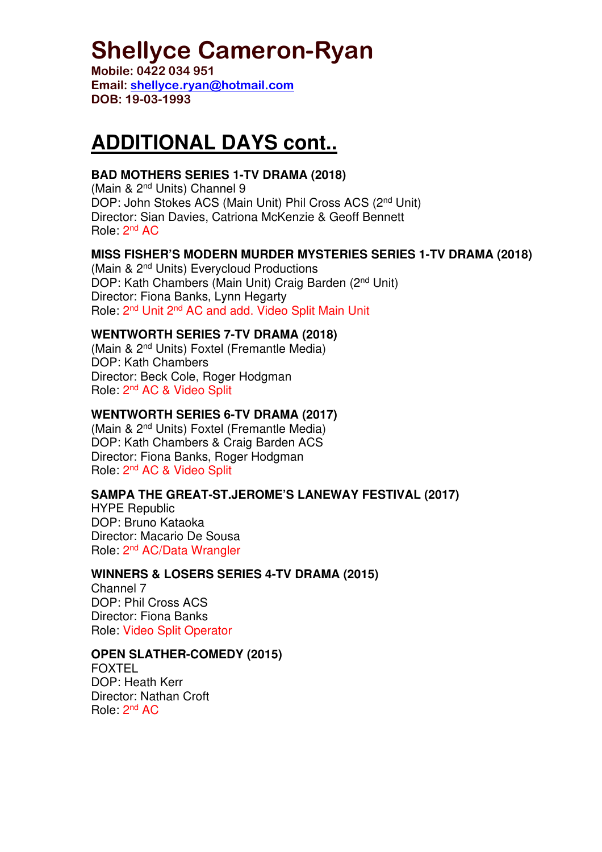**Mobile: 0422 034 951 Email: shellyce.ryan@hotmail.com DOB: 19-03-1993** 

## **ADDITIONAL DAYS cont..**

#### **BAD MOTHERS SERIES 1-TV DRAMA (2018)**

(Main & 2nd Units) Channel 9 DOP: John Stokes ACS (Main Unit) Phil Cross ACS (2nd Unit) Director: Sian Davies, Catriona McKenzie & Geoff Bennett Role: 2nd AC

#### **MISS FISHER'S MODERN MURDER MYSTERIES SERIES 1-TV DRAMA (2018)**

(Main & 2nd Units) Everycloud Productions DOP: Kath Chambers (Main Unit) Craig Barden (2nd Unit) Director: Fiona Banks, Lynn Hegarty Role: 2nd Unit 2nd AC and add. Video Split Main Unit

#### **WENTWORTH SERIES 7-TV DRAMA (2018)**

(Main & 2nd Units) Foxtel (Fremantle Media) DOP: Kath Chambers Director: Beck Cole, Roger Hodgman Role: 2nd AC & Video Split

#### **WENTWORTH SERIES 6-TV DRAMA (2017)**

(Main & 2nd Units) Foxtel (Fremantle Media) DOP: Kath Chambers & Craig Barden ACS Director: Fiona Banks, Roger Hodgman Role: 2nd AC & Video Split

#### **SAMPA THE GREAT-ST.JEROME'S LANEWAY FESTIVAL (2017)**

HYPE Republic DOP: Bruno Kataoka Director: Macario De Sousa Role: 2<sup>nd</sup> AC/Data Wrangler

#### **WINNERS & LOSERS SERIES 4-TV DRAMA (2015)**

Channel 7 DOP: Phil Cross ACS Director: Fiona Banks Role: Video Split Operator

#### **OPEN SLATHER-COMEDY (2015)**

FOXTEL DOP: Heath Kerr Director: Nathan Croft Role: 2nd AC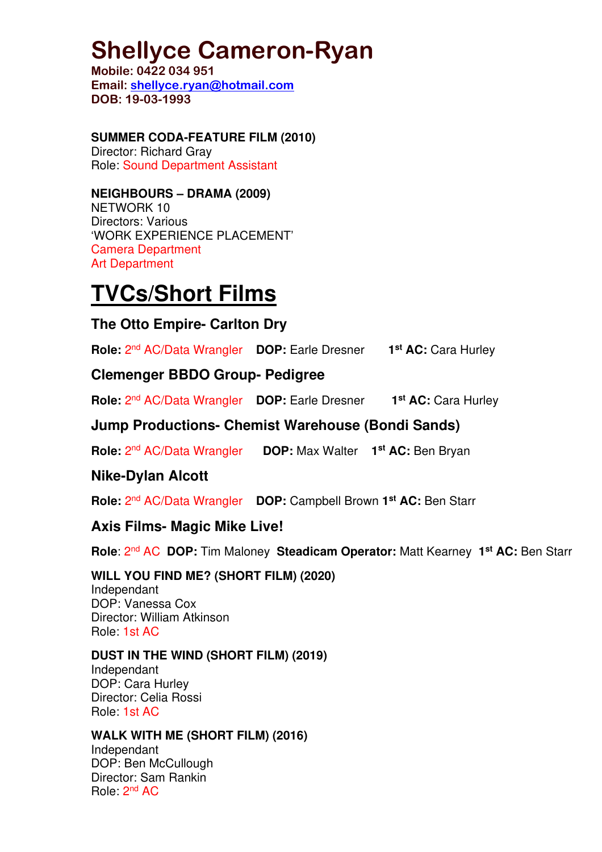**Mobile: 0422 034 951 Email: shellyce.ryan@hotmail.com DOB: 19-03-1993** 

### **SUMMER CODA-FEATURE FILM (2010)**

Director: Richard Gray Role: Sound Department Assistant

**NEIGHBOURS – DRAMA (2009)**  NETWORK 10

Directors: Various 'WORK EXPERIENCE PLACEMENT' Camera Department Art Department

# **TVCs/Short Films**

## **The Otto Empire- Carlton Dry**

**Role:** 2 nd AC/Data Wrangler **DOP:** Earle Dresner **1 1st AC:** Cara Hurley

### **Clemenger BBDO Group- Pedigree**

**Role:** 2 nd AC/Data Wrangler **DOP:** Earle Dresner **1 st AC:** Cara Hurley

## **Jump Productions- Chemist Warehouse (Bondi Sands)**

**Role:** 2 nd AC/Data Wrangler **DOP:** Max Walter **1st AC:** Ben Bryan

### **Nike-Dylan Alcott**

**Role:** 2 nd AC/Data Wrangler **DOP:** Campbell Brown **1st AC:** Ben Starr

### **Axis Films- Magic Mike Live!**

**Role:** 2<sup>nd</sup> AC DOP: Tim Maloney Steadicam Operator: Matt Kearney 1<sup>st</sup> AC: Ben Starr

#### **WILL YOU FIND ME? (SHORT FILM) (2020)**  Independant DOP: Vanessa Cox Director: William Atkinson

Role: 1st AC

#### **DUST IN THE WIND (SHORT FILM) (2019)**

Independant DOP: Cara Hurley Director: Celia Rossi Role: 1st AC

#### **WALK WITH ME (SHORT FILM) (2016)**

Independant DOP: Ben McCullough Director: Sam Rankin Role: 2nd AC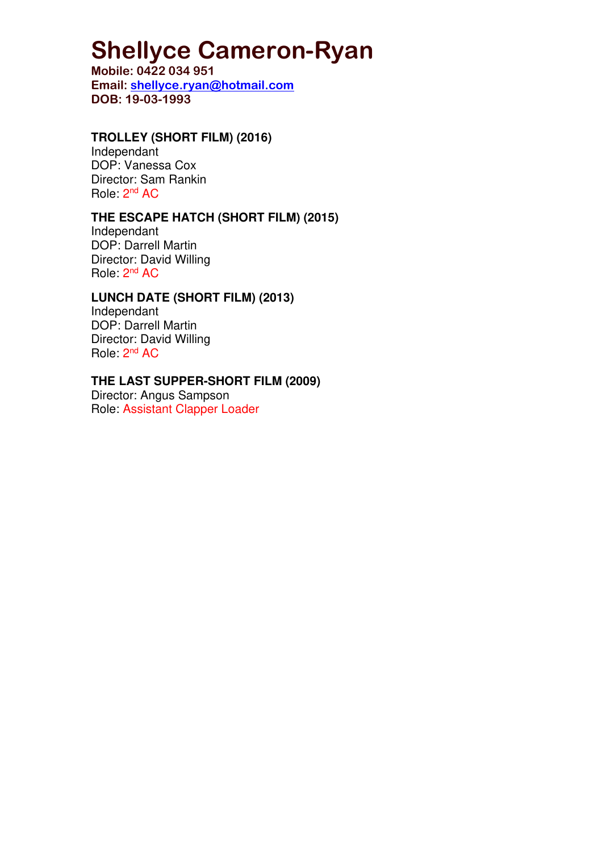**Mobile: 0422 034 951 Email: shellyce.ryan@hotmail.com DOB: 19-03-1993** 

#### **TROLLEY (SHORT FILM) (2016)**

Independant DOP: Vanessa Cox Director: Sam Rankin Role: 2nd AC

#### **THE ESCAPE HATCH (SHORT FILM) (2015)**

Independant DOP: Darrell Martin Director: David Willing Role: 2nd AC

### **LUNCH DATE (SHORT FILM) (2013)**

Independant DOP: Darrell Martin Director: David Willing Role: 2nd AC

#### **THE LAST SUPPER-SHORT FILM (2009)**

Director: Angus Sampson Role: Assistant Clapper Loader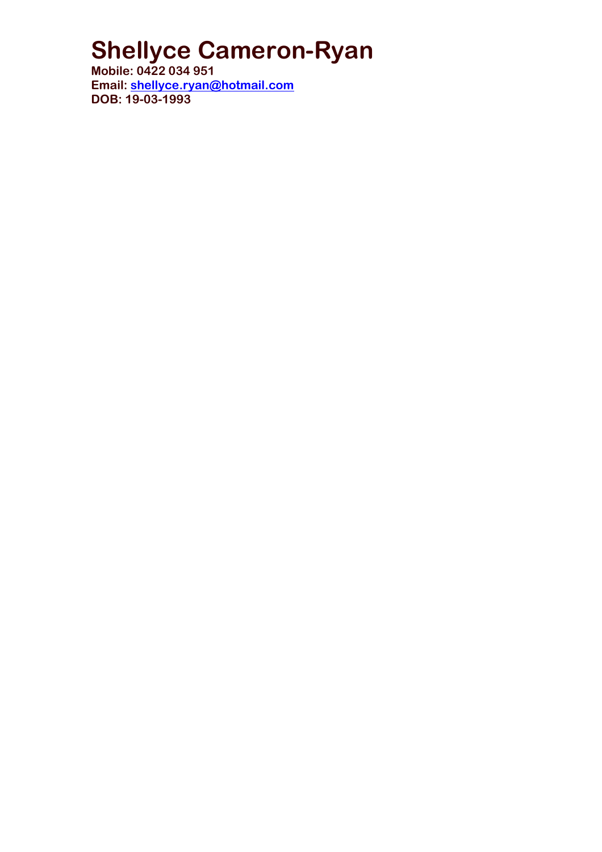**Mobile: 0422 034 951 Email: shellyce.ryan@hotmail.com DOB: 19-03-1993**